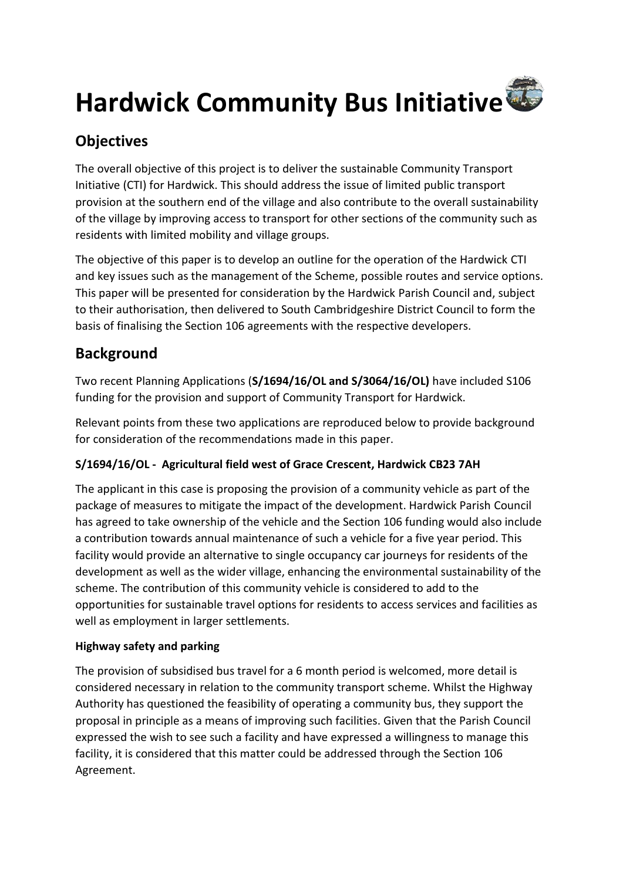

# **Objectives**

The overall objective of this project is to deliver the sustainable Community Transport Initiative (CTI) for Hardwick. This should address the issue of limited public transport provision at the southern end of the village and also contribute to the overall sustainability of the village by improving access to transport for other sections of the community such as residents with limited mobility and village groups.

The objective of this paper is to develop an outline for the operation of the Hardwick CTI and key issues such as the management of the Scheme, possible routes and service options. This paper will be presented for consideration by the Hardwick Parish Council and, subject to their authorisation, then delivered to South Cambridgeshire District Council to form the basis of finalising the Section 106 agreements with the respective developers.

# **Background**

Two recent Planning Applications (**S/1694/16/OL and S/3064/16/OL)** have included S106 funding for the provision and support of Community Transport for Hardwick.

Relevant points from these two applications are reproduced below to provide background for consideration of the recommendations made in this paper.

## **S/1694/16/OL - Agricultural field west of Grace Crescent, Hardwick CB23 7AH**

The applicant in this case is proposing the provision of a community vehicle as part of the package of measures to mitigate the impact of the development. Hardwick Parish Council has agreed to take ownership of the vehicle and the Section 106 funding would also include a contribution towards annual maintenance of such a vehicle for a five year period. This facility would provide an alternative to single occupancy car journeys for residents of the development as well as the wider village, enhancing the environmental sustainability of the scheme. The contribution of this community vehicle is considered to add to the opportunities for sustainable travel options for residents to access services and facilities as well as employment in larger settlements.

## **Highway safety and parking**

The provision of subsidised bus travel for a 6 month period is welcomed, more detail is considered necessary in relation to the community transport scheme. Whilst the Highway Authority has questioned the feasibility of operating a community bus, they support the proposal in principle as a means of improving such facilities. Given that the Parish Council expressed the wish to see such a facility and have expressed a willingness to manage this facility, it is considered that this matter could be addressed through the Section 106 Agreement.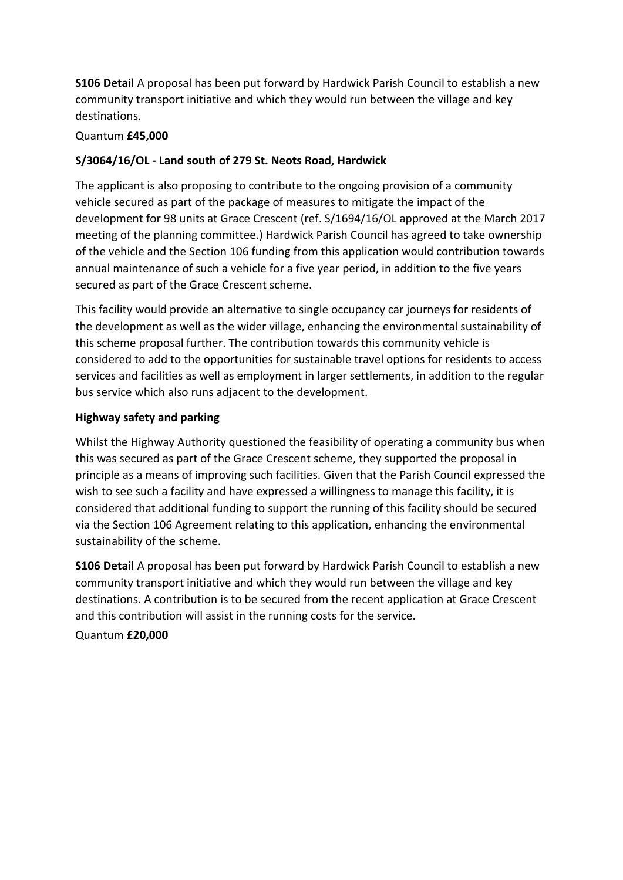**S106 Detail** A proposal has been put forward by Hardwick Parish Council to establish a new community transport initiative and which they would run between the village and key destinations.

### Quantum **£45,000**

### **S/3064/16/OL - Land south of 279 St. Neots Road, Hardwick**

The applicant is also proposing to contribute to the ongoing provision of a community vehicle secured as part of the package of measures to mitigate the impact of the development for 98 units at Grace Crescent (ref. S/1694/16/OL approved at the March 2017 meeting of the planning committee.) Hardwick Parish Council has agreed to take ownership of the vehicle and the Section 106 funding from this application would contribution towards annual maintenance of such a vehicle for a five year period, in addition to the five years secured as part of the Grace Crescent scheme.

This facility would provide an alternative to single occupancy car journeys for residents of the development as well as the wider village, enhancing the environmental sustainability of this scheme proposal further. The contribution towards this community vehicle is considered to add to the opportunities for sustainable travel options for residents to access services and facilities as well as employment in larger settlements, in addition to the regular bus service which also runs adjacent to the development.

#### **Highway safety and parking**

Whilst the Highway Authority questioned the feasibility of operating a community bus when this was secured as part of the Grace Crescent scheme, they supported the proposal in principle as a means of improving such facilities. Given that the Parish Council expressed the wish to see such a facility and have expressed a willingness to manage this facility, it is considered that additional funding to support the running of this facility should be secured via the Section 106 Agreement relating to this application, enhancing the environmental sustainability of the scheme.

**S106 Detail** A proposal has been put forward by Hardwick Parish Council to establish a new community transport initiative and which they would run between the village and key destinations. A contribution is to be secured from the recent application at Grace Crescent and this contribution will assist in the running costs for the service.

Quantum **£20,000**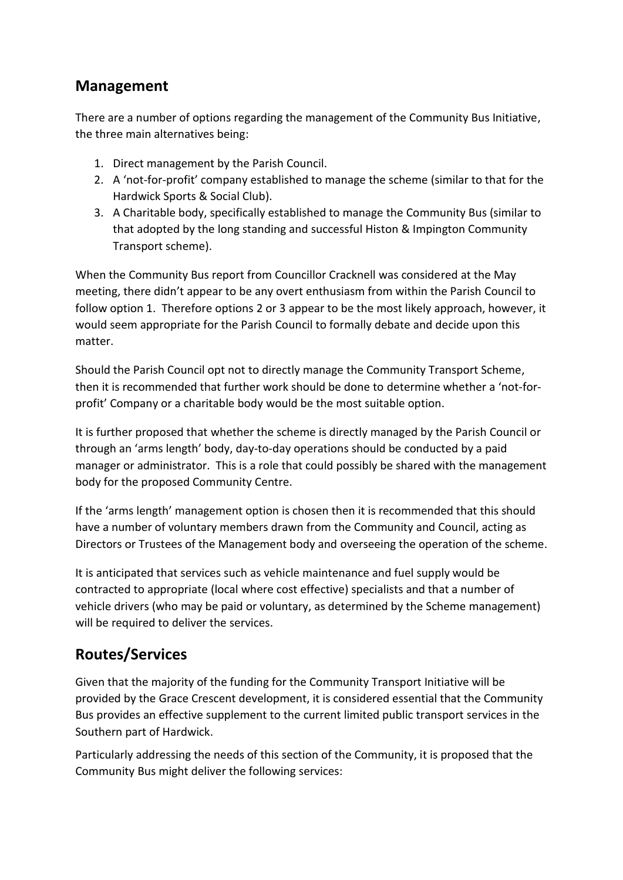## **Management**

There are a number of options regarding the management of the Community Bus Initiative, the three main alternatives being:

- 1. Direct management by the Parish Council.
- 2. A 'not-for-profit' company established to manage the scheme (similar to that for the Hardwick Sports & Social Club).
- 3. A Charitable body, specifically established to manage the Community Bus (similar to that adopted by the long standing and successful Histon & Impington Community Transport scheme).

When the Community Bus report from Councillor Cracknell was considered at the May meeting, there didn't appear to be any overt enthusiasm from within the Parish Council to follow option 1. Therefore options 2 or 3 appear to be the most likely approach, however, it would seem appropriate for the Parish Council to formally debate and decide upon this matter.

Should the Parish Council opt not to directly manage the Community Transport Scheme, then it is recommended that further work should be done to determine whether a 'not-forprofit' Company or a charitable body would be the most suitable option.

It is further proposed that whether the scheme is directly managed by the Parish Council or through an 'arms length' body, day-to-day operations should be conducted by a paid manager or administrator. This is a role that could possibly be shared with the management body for the proposed Community Centre.

If the 'arms length' management option is chosen then it is recommended that this should have a number of voluntary members drawn from the Community and Council, acting as Directors or Trustees of the Management body and overseeing the operation of the scheme.

It is anticipated that services such as vehicle maintenance and fuel supply would be contracted to appropriate (local where cost effective) specialists and that a number of vehicle drivers (who may be paid or voluntary, as determined by the Scheme management) will be required to deliver the services.

# **Routes/Services**

Given that the majority of the funding for the Community Transport Initiative will be provided by the Grace Crescent development, it is considered essential that the Community Bus provides an effective supplement to the current limited public transport services in the Southern part of Hardwick.

Particularly addressing the needs of this section of the Community, it is proposed that the Community Bus might deliver the following services: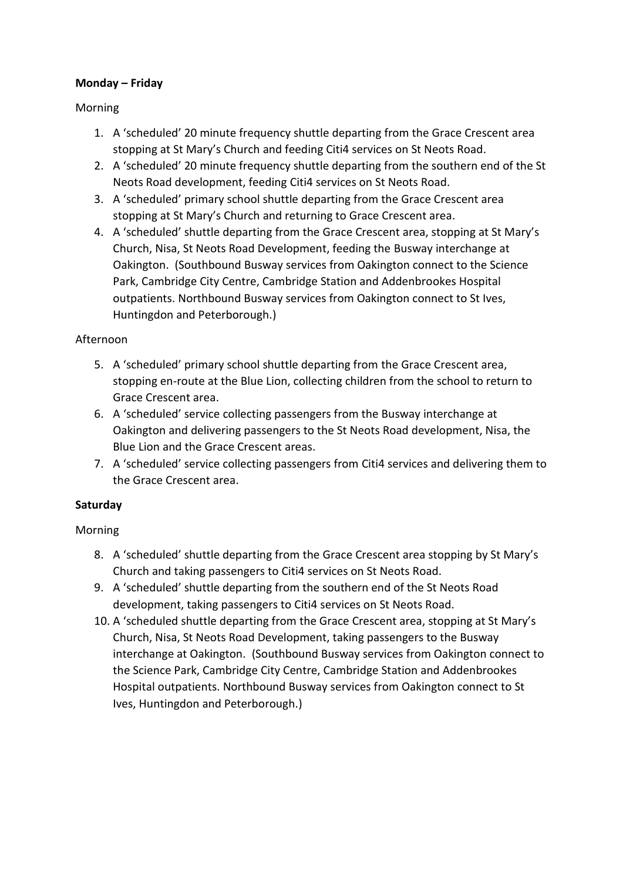#### **Monday – Friday**

#### Morning

- 1. A 'scheduled' 20 minute frequency shuttle departing from the Grace Crescent area stopping at St Mary's Church and feeding Citi4 services on St Neots Road.
- 2. A 'scheduled' 20 minute frequency shuttle departing from the southern end of the St Neots Road development, feeding Citi4 services on St Neots Road.
- 3. A 'scheduled' primary school shuttle departing from the Grace Crescent area stopping at St Mary's Church and returning to Grace Crescent area.
- 4. A 'scheduled' shuttle departing from the Grace Crescent area, stopping at St Mary's Church, Nisa, St Neots Road Development, feeding the Busway interchange at Oakington. (Southbound Busway services from Oakington connect to the Science Park, Cambridge City Centre, Cambridge Station and Addenbrookes Hospital outpatients. Northbound Busway services from Oakington connect to St Ives, Huntingdon and Peterborough.)

### Afternoon

- 5. A 'scheduled' primary school shuttle departing from the Grace Crescent area, stopping en-route at the Blue Lion, collecting children from the school to return to Grace Crescent area.
- 6. A 'scheduled' service collecting passengers from the Busway interchange at Oakington and delivering passengers to the St Neots Road development, Nisa, the Blue Lion and the Grace Crescent areas.
- 7. A 'scheduled' service collecting passengers from Citi4 services and delivering them to the Grace Crescent area.

## **Saturday**

## Morning

- 8. A 'scheduled' shuttle departing from the Grace Crescent area stopping by St Mary's Church and taking passengers to Citi4 services on St Neots Road.
- 9. A 'scheduled' shuttle departing from the southern end of the St Neots Road development, taking passengers to Citi4 services on St Neots Road.
- 10. A 'scheduled shuttle departing from the Grace Crescent area, stopping at St Mary's Church, Nisa, St Neots Road Development, taking passengers to the Busway interchange at Oakington. (Southbound Busway services from Oakington connect to the Science Park, Cambridge City Centre, Cambridge Station and Addenbrookes Hospital outpatients. Northbound Busway services from Oakington connect to St Ives, Huntingdon and Peterborough.)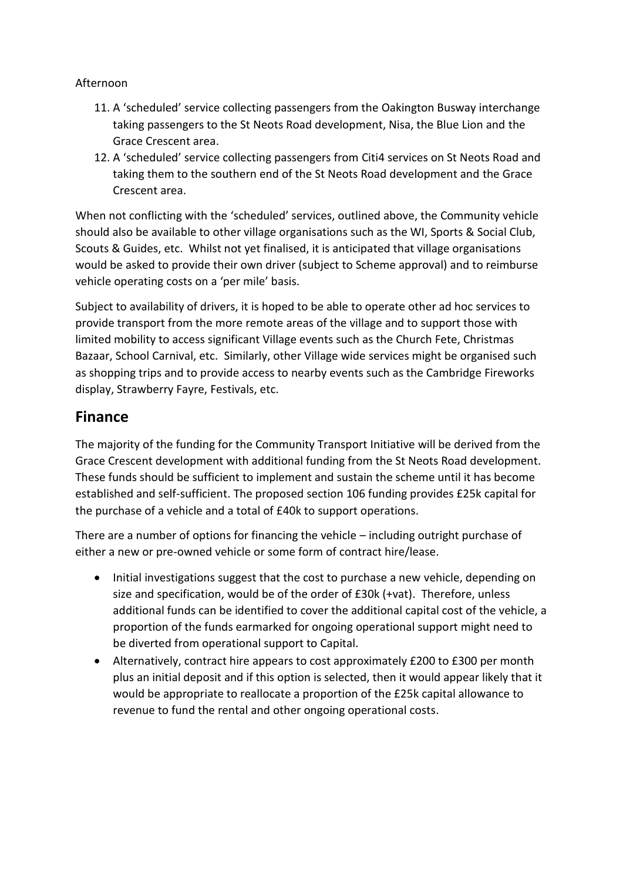### Afternoon

- 11. A 'scheduled' service collecting passengers from the Oakington Busway interchange taking passengers to the St Neots Road development, Nisa, the Blue Lion and the Grace Crescent area.
- 12. A 'scheduled' service collecting passengers from Citi4 services on St Neots Road and taking them to the southern end of the St Neots Road development and the Grace Crescent area.

When not conflicting with the 'scheduled' services, outlined above, the Community vehicle should also be available to other village organisations such as the WI, Sports & Social Club, Scouts & Guides, etc. Whilst not yet finalised, it is anticipated that village organisations would be asked to provide their own driver (subject to Scheme approval) and to reimburse vehicle operating costs on a 'per mile' basis.

Subject to availability of drivers, it is hoped to be able to operate other ad hoc services to provide transport from the more remote areas of the village and to support those with limited mobility to access significant Village events such as the Church Fete, Christmas Bazaar, School Carnival, etc. Similarly, other Village wide services might be organised such as shopping trips and to provide access to nearby events such as the Cambridge Fireworks display, Strawberry Fayre, Festivals, etc.

## **Finance**

The majority of the funding for the Community Transport Initiative will be derived from the Grace Crescent development with additional funding from the St Neots Road development. These funds should be sufficient to implement and sustain the scheme until it has become established and self-sufficient. The proposed section 106 funding provides £25k capital for the purchase of a vehicle and a total of £40k to support operations.

There are a number of options for financing the vehicle – including outright purchase of either a new or pre-owned vehicle or some form of contract hire/lease.

- Initial investigations suggest that the cost to purchase a new vehicle, depending on size and specification, would be of the order of £30k (+vat). Therefore, unless additional funds can be identified to cover the additional capital cost of the vehicle, a proportion of the funds earmarked for ongoing operational support might need to be diverted from operational support to Capital.
- Alternatively, contract hire appears to cost approximately £200 to £300 per month plus an initial deposit and if this option is selected, then it would appear likely that it would be appropriate to reallocate a proportion of the £25k capital allowance to revenue to fund the rental and other ongoing operational costs.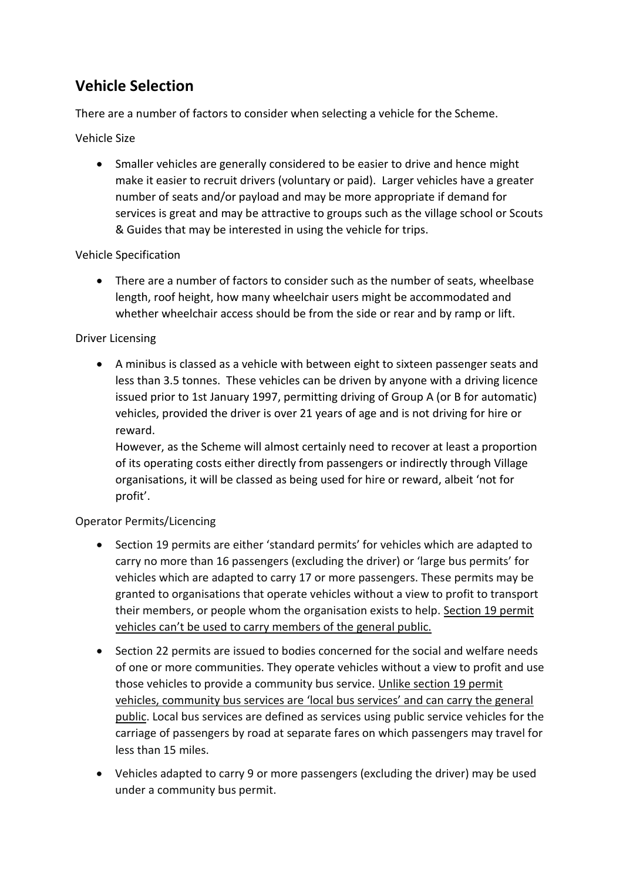## **Vehicle Selection**

There are a number of factors to consider when selecting a vehicle for the Scheme.

### Vehicle Size

• Smaller vehicles are generally considered to be easier to drive and hence might make it easier to recruit drivers (voluntary or paid). Larger vehicles have a greater number of seats and/or payload and may be more appropriate if demand for services is great and may be attractive to groups such as the village school or Scouts & Guides that may be interested in using the vehicle for trips.

### Vehicle Specification

• There are a number of factors to consider such as the number of seats, wheelbase length, roof height, how many wheelchair users might be accommodated and whether wheelchair access should be from the side or rear and by ramp or lift.

### Driver Licensing

• A minibus is classed as a vehicle with between eight to sixteen passenger seats and less than 3.5 tonnes. These vehicles can be driven by anyone with a driving licence issued prior to 1st January 1997, permitting driving of Group A (or B for automatic) vehicles, provided the driver is over 21 years of age and is not driving for hire or reward.

However, as the Scheme will almost certainly need to recover at least a proportion of its operating costs either directly from passengers or indirectly through Village organisations, it will be classed as being used for hire or reward, albeit 'not for profit'.

## Operator Permits/Licencing

- Section 19 permits are either 'standard permits' for vehicles which are adapted to carry no more than 16 passengers (excluding the driver) or 'large bus permits' for vehicles which are adapted to carry 17 or more passengers. These permits may be granted to organisations that operate vehicles without a view to profit to transport their members, or people whom the organisation exists to help. Section 19 permit vehicles can't be used to carry members of the general public.
- Section 22 permits are issued to bodies concerned for the social and welfare needs of one or more communities. They operate vehicles without a view to profit and use those vehicles to provide a community bus service. Unlike section 19 permit vehicles, community bus services are 'local bus services' and can carry the general public. Local bus services are defined as services using public service vehicles for the carriage of passengers by road at separate fares on which passengers may travel for less than 15 miles.
- Vehicles adapted to carry 9 or more passengers (excluding the driver) may be used under a community bus permit.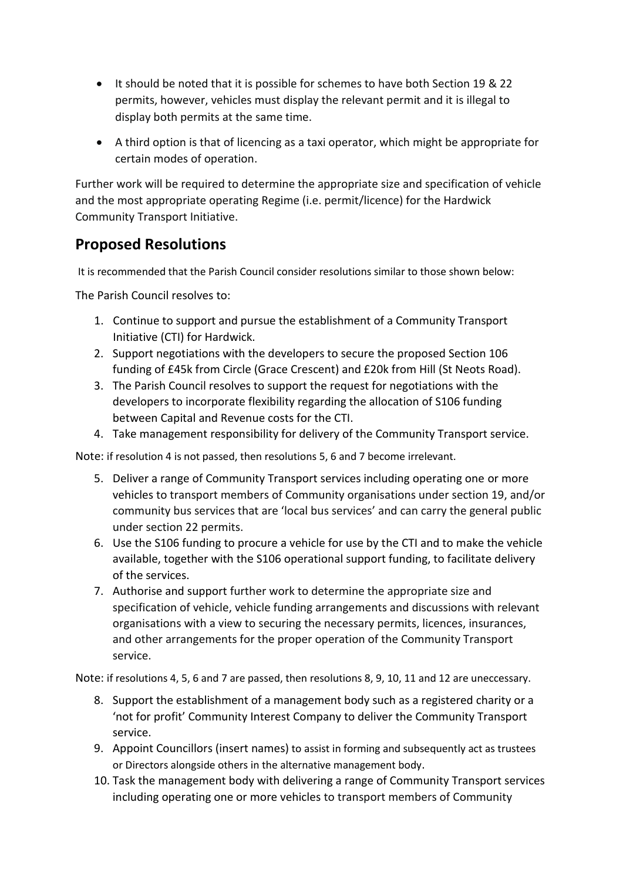- It should be noted that it is possible for schemes to have both Section 19 & 22 permits, however, vehicles must display the relevant permit and it is illegal to display both permits at the same time.
- A third option is that of licencing as a taxi operator, which might be appropriate for certain modes of operation.

Further work will be required to determine the appropriate size and specification of vehicle and the most appropriate operating Regime (i.e. permit/licence) for the Hardwick Community Transport Initiative.

## **Proposed Resolutions**

It is recommended that the Parish Council consider resolutions similar to those shown below:

The Parish Council resolves to:

- 1. Continue to support and pursue the establishment of a Community Transport Initiative (CTI) for Hardwick.
- 2. Support negotiations with the developers to secure the proposed Section 106 funding of £45k from Circle (Grace Crescent) and £20k from Hill (St Neots Road).
- 3. The Parish Council resolves to support the request for negotiations with the developers to incorporate flexibility regarding the allocation of S106 funding between Capital and Revenue costs for the CTI.
- 4. Take management responsibility for delivery of the Community Transport service.

Note: if resolution 4 is not passed, then resolutions 5, 6 and 7 become irrelevant.

- 5. Deliver a range of Community Transport services including operating one or more vehicles to transport members of Community organisations under section 19, and/or community bus services that are 'local bus services' and can carry the general public under section 22 permits.
- 6. Use the S106 funding to procure a vehicle for use by the CTI and to make the vehicle available, together with the S106 operational support funding, to facilitate delivery of the services.
- 7. Authorise and support further work to determine the appropriate size and specification of vehicle, vehicle funding arrangements and discussions with relevant organisations with a view to securing the necessary permits, licences, insurances, and other arrangements for the proper operation of the Community Transport service.

Note: if resolutions 4, 5, 6 and 7 are passed, then resolutions 8, 9, 10, 11 and 12 are uneccessary.

- 8. Support the establishment of a management body such as a registered charity or a 'not for profit' Community Interest Company to deliver the Community Transport service.
- 9. Appoint Councillors (insert names) to assist in forming and subsequently act as trustees or Directors alongside others in the alternative management body.
- 10. Task the management body with delivering a range of Community Transport services including operating one or more vehicles to transport members of Community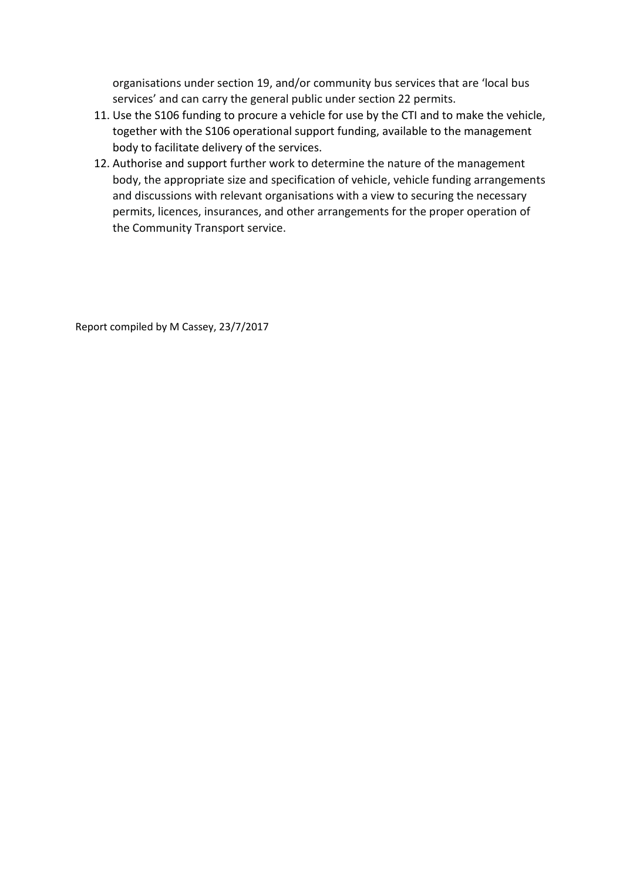organisations under section 19, and/or community bus services that are 'local bus services' and can carry the general public under section 22 permits.

- 11. Use the S106 funding to procure a vehicle for use by the CTI and to make the vehicle, together with the S106 operational support funding, available to the management body to facilitate delivery of the services.
- 12. Authorise and support further work to determine the nature of the management body, the appropriate size and specification of vehicle, vehicle funding arrangements and discussions with relevant organisations with a view to securing the necessary permits, licences, insurances, and other arrangements for the proper operation of the Community Transport service.

Report compiled by M Cassey, 23/7/2017